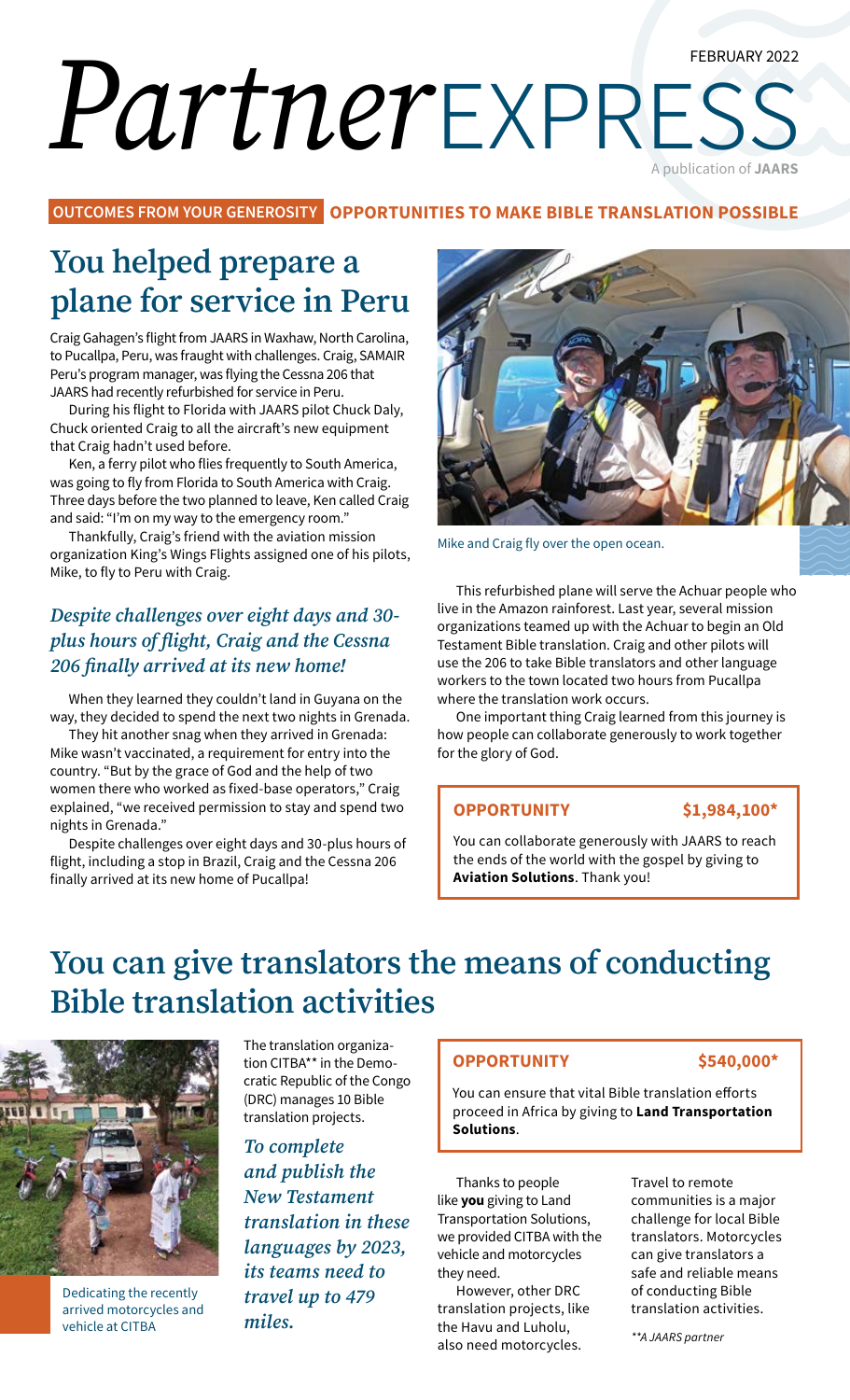#### FEBRUARY 2022

# *Partner*express A publication of **JAARS**

**OUTCOMES FROM YOUR GENEROSITY OPPORTUNITIES TO MAKE BIBLE TRANSLATION POSSIBLE**

## **You helped prepare a plane for service in Peru**

Craig Gahagen's flight from JAARS in Waxhaw, North Carolina, to Pucallpa, Peru, was fraught with challenges. Craig, SAMAIR Peru's program manager, was flying the Cessna 206 that JAARS had recently refurbished for service in Peru.

During his flight to Florida with JAARS pilot Chuck Daly, Chuck oriented Craig to all the aircraft's new equipment that Craig hadn't used before.

Ken, a ferry pilot who flies frequently to South America, was going to fly from Florida to South America with Craig. Three days before the two planned to leave, Ken called Craig and said: "I'm on my way to the emergency room."

Thankfully, Craig's friend with the aviation mission organization King's Wings Flights assigned one of his pilots, Mike, to fly to Peru with Craig.

#### *Despite challenges over eight days and 30 plus hours of flight, Craig and the Cessna 206 finally arrived at its new home!*

When they learned they couldn't land in Guyana on the way, they decided to spend the next two nights in Grenada.

They hit another snag when they arrived in Grenada: Mike wasn't vaccinated, a requirement for entry into the country. "But by the grace of God and the help of two women there who worked as fixed-base operators," Craig explained, "we received permission to stay and spend two nights in Grenada."

Despite challenges over eight days and 30-plus hours of flight, including a stop in Brazil, Craig and the Cessna 206 finally arrived at its new home of Pucallpa!



Mike and Craig fly over the open ocean.

This refurbished plane will serve the Achuar people who live in the Amazon rainforest. Last year, several mission organizations teamed up with the Achuar to begin an Old Testament Bible translation. Craig and other pilots will use the 206 to take Bible translators and other language workers to the town located two hours from Pucallpa where the translation work occurs.

One important thing Craig learned from this journey is how people can collaborate generously to work together for the glory of God.

#### **OPPORTUNITY \$1,984,100\***

You can collaborate generously with JAARS to reach the ends of the world with the gospel by giving to **Aviation Solutions**. Thank you!

### **You can give translators the means of conducting Bible translation activities**



Dedicating the recently arrived motorcycles and vehicle at CITBA

The translation organization CITBA\*\* in the Democratic Republic of the Congo (DRC) manages 10 Bible translation projects.

*To complete and publish the New Testament translation in these languages by 2023, its teams need to travel up to 479 miles.*

#### **OPPORTUNITY \$540,000\***

You can ensure that vital Bible translation efforts proceed in Africa by giving to **Land Transportation Solutions**.

Thanks to people like **you** giving to Land Transportation Solutions, we provided CITBA with the vehicle and motorcycles they need.

However, other DRC translation projects, like the Havu and Luholu, also need motorcycles.

Travel to remote communities is a major challenge for local Bible translators. Motorcycles can give translators a safe and reliable means of conducting Bible translation activities.

*\*\*A JAARS partner*